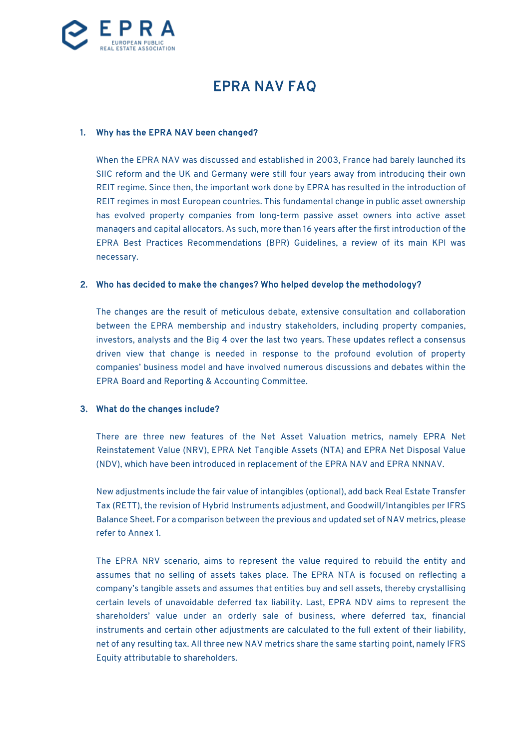

# EPRA NAV FAQ

#### 1. Why has the EPRA NAV been changed?

When the EPRA NAV was discussed and established in 2003, France had barely launched its SIIC reform and the UK and Germany were still four years away from introducing their own REIT regime. Since then, the important work done by EPRA has resulted in the introduction of REIT regimes in most European countries. This fundamental change in public asset ownership has evolved property companies from long-term passive asset owners into active asset managers and capital allocators. As such, more than 16 years after the first introduction of the EPRA Best Practices Recommendations (BPR) Guidelines, a review of its main KPI was necessary.

#### 2. Who has decided to make the changes? Who helped develop the methodology?

The changes are the result of meticulous debate, extensive consultation and collaboration between the EPRA membership and industry stakeholders, including property companies, investors, analysts and the Big 4 over the last two years. These updates reflect a consensus driven view that change is needed in response to the profound evolution of property companies' business model and have involved numerous discussions and debates within the EPRA Board and Reporting & Accounting Committee.

## 3. What do the changes include?

There are three new features of the Net Asset Valuation metrics, namely EPRA Net Reinstatement Value (NRV), EPRA Net Tangible Assets (NTA) and EPRA Net Disposal Value (NDV), which have been introduced in replacement of the EPRA NAV and EPRA NNNAV.

New adjustments include the fair value of intangibles (optional), add back Real Estate Transfer Tax (RETT), the revision of Hybrid Instruments adjustment, and Goodwill/Intangibles per IFRS Balance Sheet. For a comparison between the previous and updated set of NAV metrics, please refer to Annex 1.

The EPRA NRV scenario, aims to represent the value required to rebuild the entity and assumes that no selling of assets takes place. The EPRA NTA is focused on reflecting a company's tangible assets and assumes that entities buy and sell assets, thereby crystallising certain levels of unavoidable deferred tax liability. Last, EPRA NDV aims to represent the shareholders' value under an orderly sale of business, where deferred tax, financial instruments and certain other adjustments are calculated to the full extent of their liability, net of any resulting tax. All three new NAV metrics share the same starting point, namely IFRS Equity attributable to shareholders.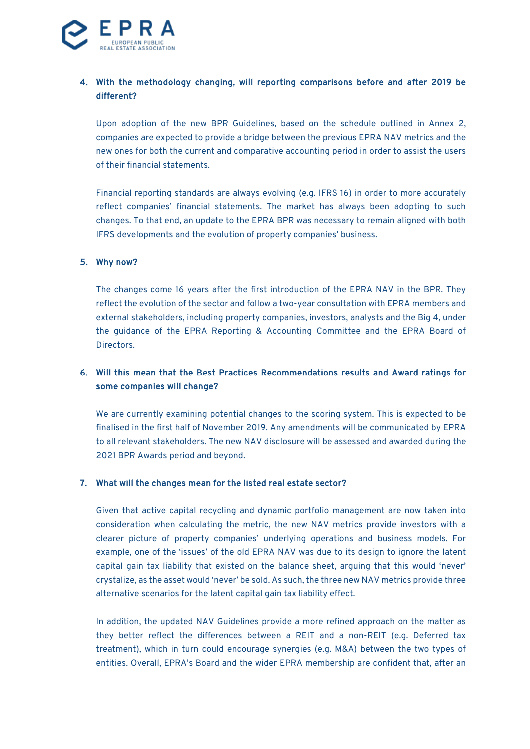

## 4. With the methodology changing, will reporting comparisons before and after 2019 be different?

Upon adoption of the new BPR Guidelines, based on the schedule outlined in Annex 2, companies are expected to provide a bridge between the previous EPRA NAV metrics and the new ones for both the current and comparative accounting period in order to assist the users of their financial statements.

Financial reporting standards are always evolving (e.g. IFRS 16) in order to more accurately reflect companies' financial statements. The market has always been adopting to such changes. To that end, an update to the EPRA BPR was necessary to remain aligned with both IFRS developments and the evolution of property companies' business.

#### 5. Why now?

The changes come 16 years after the first introduction of the EPRA NAV in the BPR. They reflect the evolution of the sector and follow a two-year consultation with EPRA members and external stakeholders, including property companies, investors, analysts and the Big 4, under the guidance of the EPRA Reporting & Accounting Committee and the EPRA Board of Directors.

## 6. Will this mean that the Best Practices Recommendations results and Award ratings for some companies will change?

We are currently examining potential changes to the scoring system. This is expected to be finalised in the first half of November 2019. Any amendments will be communicated by EPRA to all relevant stakeholders. The new NAV disclosure will be assessed and awarded during the 2021 BPR Awards period and beyond.

#### 7. What will the changes mean for the listed real estate sector?

Given that active capital recycling and dynamic portfolio management are now taken into consideration when calculating the metric, the new NAV metrics provide investors with a clearer picture of property companies' underlying operations and business models. For example, one of the 'issues' of the old EPRA NAV was due to its design to ignore the latent capital gain tax liability that existed on the balance sheet, arguing that this would 'never' crystalize, as the asset would 'never' be sold. As such, the three new NAV metrics provide three alternative scenarios for the latent capital gain tax liability effect.

In addition, the updated NAV Guidelines provide a more refined approach on the matter as they better reflect the differences between a REIT and a non-REIT (e.g. Deferred tax treatment), which in turn could encourage synergies (e.g. M&A) between the two types of entities. Overall, EPRA's Board and the wider EPRA membership are confident that, after an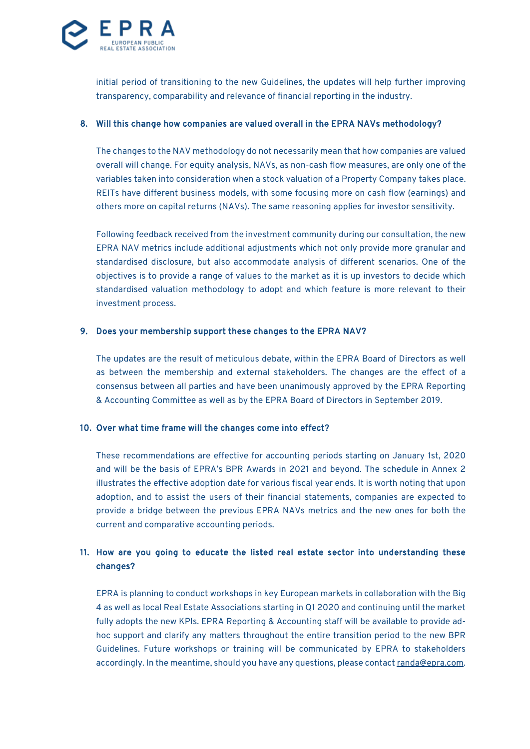

initial period of transitioning to the new Guidelines, the updates will help further improving transparency, comparability and relevance of financial reporting in the industry.

#### 8. Will this change how companies are valued overall in the EPRA NAVs methodology?

The changes to the NAV methodology do not necessarily mean that how companies are valued overall will change. For equity analysis, NAVs, as non-cash flow measures, are only one of the variables taken into consideration when a stock valuation of a Property Company takes place. REITs have different business models, with some focusing more on cash flow (earnings) and others more on capital returns (NAVs). The same reasoning applies for investor sensitivity.

Following feedback received from the investment community during our consultation, the new EPRA NAV metrics include additional adjustments which not only provide more granular and standardised disclosure, but also accommodate analysis of different scenarios. One of the objectives is to provide a range of values to the market as it is up investors to decide which standardised valuation methodology to adopt and which feature is more relevant to their investment process.

#### 9. Does your membership support these changes to the EPRA NAV?

The updates are the result of meticulous debate, within the EPRA Board of Directors as well as between the membership and external stakeholders. The changes are the effect of a consensus between all parties and have been unanimously approved by the EPRA Reporting & Accounting Committee as well as by the EPRA Board of Directors in September 2019.

#### 10. Over what time frame will the changes come into effect?

These recommendations are effective for accounting periods starting on January 1st, 2020 and will be the basis of EPRA's BPR Awards in 2021 and beyond. The schedule in Annex 2 illustrates the effective adoption date for various fiscal year ends. It is worth noting that upon adoption, and to assist the users of their financial statements, companies are expected to provide a bridge between the previous EPRA NAVs metrics and the new ones for both the current and comparative accounting periods.

## 11. How are you going to educate the listed real estate sector into understanding these changes?

EPRA is planning to conduct workshops in key European markets in collaboration with the Big 4 as well as local Real Estate Associations starting in Q1 2020 and continuing until the market fully adopts the new KPIs. EPRA Reporting & Accounting staff will be available to provide adhoc support and clarify any matters throughout the entire transition period to the new BPR Guidelines. Future workshops or training will be communicated by EPRA to stakeholders accordingly. In the meantime, should you have any questions, please contac[t randa@epra.com.](mailto:randa@epra.com)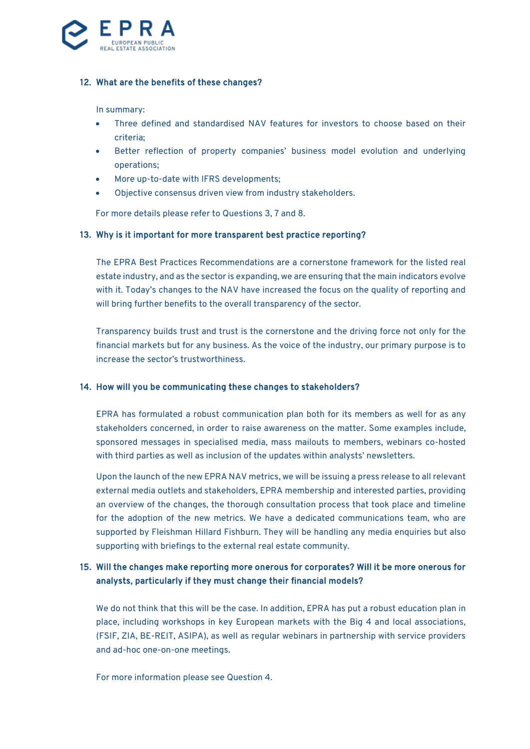

#### 12. What are the benefits of these changes?

#### In summary:

- Three defined and standardised NAV features for investors to choose based on their criteria;
- Better reflection of property companies' business model evolution and underlying operations;
- More up-to-date with IFRS developments;
- Objective consensus driven view from industry stakeholders.

For more details please refer to Questions 3, 7 and 8.

#### 13. Why is it important for more transparent best practice reporting?

The EPRA Best Practices Recommendations are a cornerstone framework for the listed real estate industry, and as the sector is expanding, we are ensuring that the main indicators evolve with it. Today's changes to the NAV have increased the focus on the quality of reporting and will bring further benefits to the overall transparency of the sector.

Transparency builds trust and trust is the cornerstone and the driving force not only for the financial markets but for any business. As the voice of the industry, our primary purpose is to increase the sector's trustworthiness.

#### 14. How will you be communicating these changes to stakeholders?

EPRA has formulated a robust communication plan both for its members as well for as any stakeholders concerned, in order to raise awareness on the matter. Some examples include, sponsored messages in specialised media, mass mailouts to members, webinars co-hosted with third parties as well as inclusion of the updates within analysts' newsletters.

Upon the launch of the new EPRA NAV metrics, we will be issuing a press release to all relevant external media outlets and stakeholders, EPRA membership and interested parties, providing an overview of the changes, the thorough consultation process that took place and timeline for the adoption of the new metrics. We have a dedicated communications team, who are supported by Fleishman Hillard Fishburn. They will be handling any media enquiries but also supporting with briefings to the external real estate community.

## 15. Will the changes make reporting more onerous for corporates? Will it be more onerous for analysts, particularly if they must change their financial models?

We do not think that this will be the case. In addition, EPRA has put a robust education plan in place, including workshops in key European markets with the Big 4 and local associations, (FSIF, ZIA, BE-REIT, ASIPA), as well as regular webinars in partnership with service providers and ad-hoc one-on-one meetings.

For more information please see Question 4.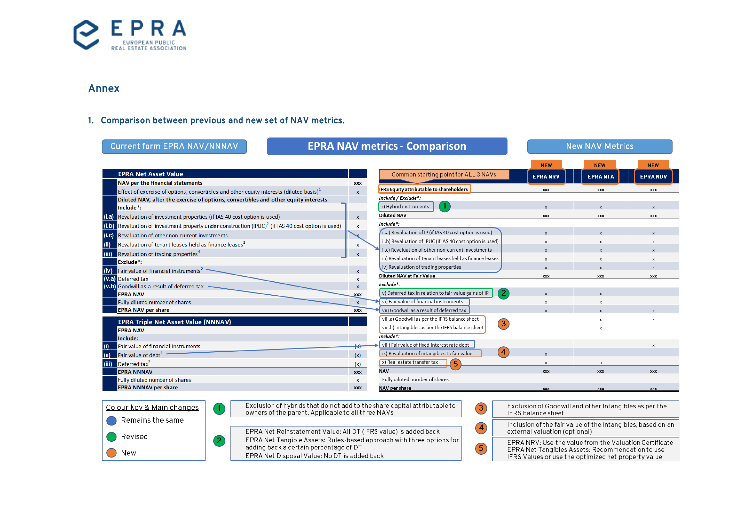

## Annex

# 1. Comparison between previous and new set of NAV metrics.

| <b>Current form EPRA NAV/NNNAV</b>                                                                       | <b>EPRA NAV metrics - Comparison</b>                                                                                                                                                                                                                                                                                                      |                                                                    |                | <b>New NAV Metrics</b>                                                                       |                           |  |
|----------------------------------------------------------------------------------------------------------|-------------------------------------------------------------------------------------------------------------------------------------------------------------------------------------------------------------------------------------------------------------------------------------------------------------------------------------------|--------------------------------------------------------------------|----------------|----------------------------------------------------------------------------------------------|---------------------------|--|
|                                                                                                          |                                                                                                                                                                                                                                                                                                                                           |                                                                    | <b>NEW</b>     | <b>NEW</b>                                                                                   | <b>NEW</b>                |  |
| <b>EPRA Net Asset Value</b>                                                                              |                                                                                                                                                                                                                                                                                                                                           | Common starting point for ALL 3 NAVs                               | <b>EPRANRV</b> | <b>EPRANTA</b>                                                                               | <b>EPRANDV</b>            |  |
| NAV per the financial statements                                                                         | <b>XXX</b>                                                                                                                                                                                                                                                                                                                                | <b>IFRS Equity attributable to shareholders</b>                    |                |                                                                                              |                           |  |
| Effect of exercise of options, convertibles and other equity interests (diluted basis) <sup>1</sup>      | x                                                                                                                                                                                                                                                                                                                                         | Include / Exclude*:                                                | XXX            | <b>XXX</b>                                                                                   | <b>XXX</b>                |  |
| Diluted NAV, after the exercise of options, convertibles and other equity interests                      |                                                                                                                                                                                                                                                                                                                                           | i) Hybrid instruments                                              |                |                                                                                              |                           |  |
| Include*:                                                                                                |                                                                                                                                                                                                                                                                                                                                           | <b>Diluted NAV</b>                                                 |                |                                                                                              |                           |  |
| Revaluation of investment properties (if IAS 40 cost option is used)<br>(i.a)                            | $\mathbf{x}$                                                                                                                                                                                                                                                                                                                              | Include*:                                                          | <b>XXX</b>     | <b>XXX</b>                                                                                   | <b>XXX</b>                |  |
| $(i.b)$ Revaluation of investment property under construction $(IPUC)^2$ (if IAS 40 cost option is used) | x                                                                                                                                                                                                                                                                                                                                         | (ii.a) Revaluation of IP (if IAS 40 cost option is used)           |                |                                                                                              |                           |  |
| (i.c)<br><b>Revaluation of other non-current investments</b>                                             |                                                                                                                                                                                                                                                                                                                                           |                                                                    |                |                                                                                              |                           |  |
| Revaluation of tenant leases held as finance leases <sup>3</sup><br>(ii)                                 | x                                                                                                                                                                                                                                                                                                                                         | ii.b) Revaluation of IPUC (if IAS 40 cost option is used)          |                |                                                                                              |                           |  |
| Revaluation of trading properties <sup>4</sup><br>(iii)                                                  | x                                                                                                                                                                                                                                                                                                                                         | ii.c) Revaluation of other non-current investments                 |                |                                                                                              |                           |  |
| Exclude <sup>*</sup> :                                                                                   |                                                                                                                                                                                                                                                                                                                                           | iii) Revaluation of tenant leases held as finance leases           | $\mathbf{x}$   |                                                                                              |                           |  |
| Fair value of financial instruments <sup>5</sup><br>(iv)                                                 |                                                                                                                                                                                                                                                                                                                                           | iv) Revaluation of trading properties                              |                |                                                                                              |                           |  |
| (v.a) Deferred tax                                                                                       | x                                                                                                                                                                                                                                                                                                                                         | <b>Diluted NAV at Fair Value</b>                                   | <b>XXX</b>     | <b>XXX</b>                                                                                   | <b>XXX</b>                |  |
| (V.b) Goodwill as a result of deferred tax                                                               | $\mathbf{x}$                                                                                                                                                                                                                                                                                                                              | Exclude*:                                                          |                |                                                                                              |                           |  |
| <b>EPRA NAV</b>                                                                                          | <b>XXX</b>                                                                                                                                                                                                                                                                                                                                | 2<br>v) Deferred tax in relation to fair value gains of IP         |                |                                                                                              |                           |  |
| Fully diluted number of shares                                                                           | $\mathbf{x}$                                                                                                                                                                                                                                                                                                                              | vi) Fair value of financial instruments                            | $\mathsf{x}$   | $\boldsymbol{\mathsf{x}}$                                                                    |                           |  |
| <b>EPRA NAV per share</b>                                                                                | <b>XXX</b>                                                                                                                                                                                                                                                                                                                                | vii) Goodwill as a result of deferred tax                          |                |                                                                                              |                           |  |
| <b>EPRA Triple Net Asset Value (NNNAV)</b>                                                               |                                                                                                                                                                                                                                                                                                                                           | viii.a) Goodwill as per the IFRS balance sheet<br>$\left(3\right)$ |                |                                                                                              |                           |  |
| <b>EPRA NAV</b>                                                                                          |                                                                                                                                                                                                                                                                                                                                           | viii.b) Intangibles as per the IFRS balance sheet                  |                |                                                                                              |                           |  |
| Include:                                                                                                 |                                                                                                                                                                                                                                                                                                                                           | Include*:                                                          |                |                                                                                              |                           |  |
| Fair value of financial instruments                                                                      | ₩                                                                                                                                                                                                                                                                                                                                         | viii) Fair value of fixed interest rate debt                       |                |                                                                                              | $\boldsymbol{\mathsf{x}}$ |  |
| Fair value of debt $1$<br>(ii)                                                                           | (x)                                                                                                                                                                                                                                                                                                                                       | $\overline{4}$<br>ix) Revaluation of intangibles to fair value     |                |                                                                                              |                           |  |
| Deferred tax <sup>2</sup><br>(iii)                                                                       | (x)                                                                                                                                                                                                                                                                                                                                       | (x) Real estate transfer tax<br>(5                                 |                |                                                                                              |                           |  |
| <b>EPRA NNNAV</b>                                                                                        | <b>XXX</b>                                                                                                                                                                                                                                                                                                                                | <b>NAV</b>                                                         | <b>XXX</b>     | <b>XXX</b>                                                                                   | <b>YYY</b>                |  |
| Fully diluted number of shares                                                                           | $\mathbf{x}$                                                                                                                                                                                                                                                                                                                              | Fully diluted number of shares                                     |                |                                                                                              |                           |  |
| <b>EPRA NNNAV per share</b>                                                                              | <b>XXX</b>                                                                                                                                                                                                                                                                                                                                | NAV per share                                                      | <b>XXX</b>     | <b>XXX</b>                                                                                   | <b>XXX</b>                |  |
| Colour key & Main changes<br>Remains the same                                                            | Exclusion of hybrids that do not add to the share capital attributable to<br>Exclusion of Goodwill and other Intangibles as per the<br>$\left 3\right\rangle$<br>owners of the parent. Applicable to all three NAVs<br><b>IFRS</b> balance sheet                                                                                          |                                                                    |                |                                                                                              |                           |  |
|                                                                                                          | $\left( 4\right)$<br>EPRA Net Reinstatement Value: All DT (IFRS value) is added back                                                                                                                                                                                                                                                      |                                                                    |                | Inclusion of the fair value of the intangibles, based on an<br>external valuation (optional) |                           |  |
| Revised<br>$\left( 2\right)$<br>New                                                                      | EPRA Net Tangible Assets: Rules-based approach with three options for<br>EPRA NRV: Use the value from the Valuation Certificate<br>adding back a certain percentage of DT<br>5<br>EPRA Net Tangibles Assets: Recommendation to use<br>EPRA Net Disposal Value: No DT is added back<br>IFRS Values or use the optimized net property value |                                                                    |                |                                                                                              |                           |  |
|                                                                                                          |                                                                                                                                                                                                                                                                                                                                           |                                                                    |                |                                                                                              |                           |  |